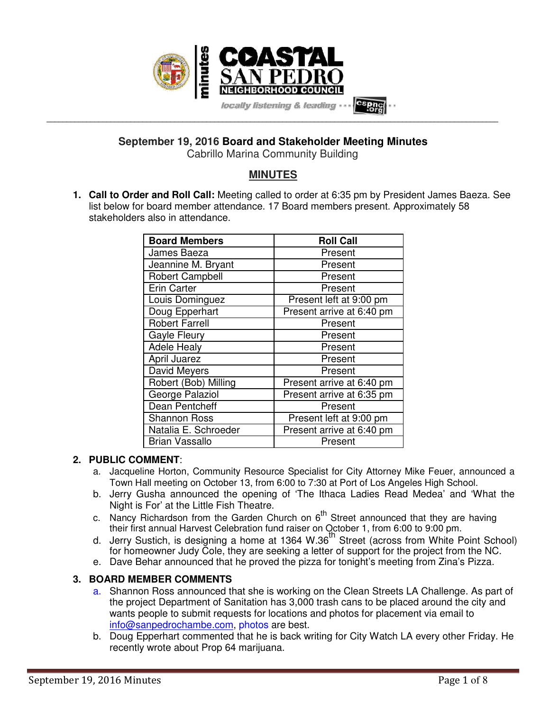

**September 19, 2016 Board and Stakeholder Meeting Minutes**  Cabrillo Marina Community Building

**MINUTES** 

**1. Call to Order and Roll Call:** Meeting called to order at 6:35 pm by President James Baeza. See list below for board member attendance. 17 Board members present. Approximately 58 stakeholders also in attendance.

| <b>Board Members</b>   | <b>Roll Call</b>          |
|------------------------|---------------------------|
| James Baeza            | Present                   |
| Jeannine M. Bryant     | Present                   |
| <b>Robert Campbell</b> | Present                   |
| <b>Erin Carter</b>     | Present                   |
| Louis Dominguez        | Present left at 9:00 pm   |
| Doug Epperhart         | Present arrive at 6:40 pm |
| <b>Robert Farrell</b>  | Present                   |
| Gayle Fleury           | Present                   |
| <b>Adele Healy</b>     | Present                   |
| <b>April Juarez</b>    | Present                   |
| David Meyers           | Present                   |
| Robert (Bob) Milling   | Present arrive at 6:40 pm |
| George Palaziol        | Present arrive at 6:35 pm |
| Dean Pentcheff         | Present                   |
| <b>Shannon Ross</b>    | Present left at 9:00 pm   |
| Natalia E. Schroeder   | Present arrive at 6:40 pm |
| <b>Brian Vassallo</b>  | Present                   |

### **2. PUBLIC COMMENT**:

- a. Jacqueline Horton, Community Resource Specialist for City Attorney Mike Feuer, announced a Town Hall meeting on October 13, from 6:00 to 7:30 at Port of Los Angeles High School.
- b. Jerry Gusha announced the opening of 'The Ithaca Ladies Read Medea' and 'What the Night is For' at the Little Fish Theatre.
- c. Nancy Richardson from the Garden Church on  $6^{th}$  Street announced that they are having their first annual Harvest Celebration fund raiser on October 1, from 6:00 to 9:00 pm.
- d. Jerry Sustich, is designing a home at 1364 W.36<sup>th</sup> Street (across from White Point School) for homeowner Judy Cole, they are seeking a letter of support for the project from the NC.
- e. Dave Behar announced that he proved the pizza for tonight's meeting from Zina's Pizza.

# **3. BOARD MEMBER COMMENTS**

- a. Shannon Ross announced that she is working on the Clean Streets LA Challenge. As part of the project Department of Sanitation has 3,000 trash cans to be placed around the city and wants people to submit requests for locations and photos for placement via email to info@sanpedrochambe.com, photos are best.
- b. Doug Epperhart commented that he is back writing for City Watch LA every other Friday. He recently wrote about Prop 64 marijuana.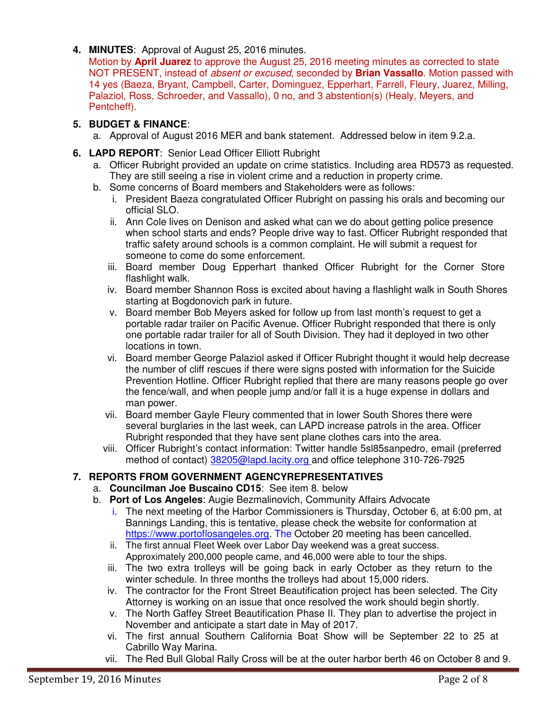**4. MINUTES**: Approval of August 25, 2016 minutes.

Motion by **April Juarez** to approve the August 25, 2016 meeting minutes as corrected to state NOT PRESENT, instead of absent or excused, seconded by **Brian Vassallo**. Motion passed with 14 yes (Baeza, Bryant, Campbell, Carter, Dominguez, Epperhart, Farrell, Fleury, Juarez, Milling, Palaziol, Ross, Schroeder, and Vassallo), 0 no, and 3 abstention(s) (Healy, Meyers, and Pentcheff).

# **5. BUDGET & FINANCE**:

- a. Approval of August 2016 MER and bank statement. Addressed below in item 9.2.a.
- **6. LAPD REPORT**: Senior Lead Officer Elliott Rubright
	- a. Officer Rubright provided an update on crime statistics. Including area RD573 as requested. They are still seeing a rise in violent crime and a reduction in property crime.
	- b. Some concerns of Board members and Stakeholders were as follows:
		- i. President Baeza congratulated Officer Rubright on passing his orals and becoming our official SLO.
		- ii. Ann Cole lives on Denison and asked what can we do about getting police presence when school starts and ends? People drive way to fast. Officer Rubright responded that traffic safety around schools is a common complaint. He will submit a request for someone to come do some enforcement.
		- iii. Board member Doug Epperhart thanked Officer Rubright for the Corner Store flashlight walk.
		- iv. Board member Shannon Ross is excited about having a flashlight walk in South Shores starting at Bogdonovich park in future.
		- v. Board member Bob Meyers asked for follow up from last month's request to get a portable radar trailer on Pacific Avenue. Officer Rubright responded that there is only one portable radar trailer for all of South Division. They had it deployed in two other locations in town.
		- vi. Board member George Palaziol asked if Officer Rubright thought it would help decrease the number of cliff rescues if there were signs posted with information for the Suicide Prevention Hotline. Officer Rubright replied that there are many reasons people go over the fence/wall, and when people jump and/or fall it is a huge expense in dollars and man power.
		- vii. Board member Gayle Fleury commented that in lower South Shores there were several burglaries in the last week, can LAPD increase patrols in the area. Officer Rubright responded that they have sent plane clothes cars into the area.
		- viii. Officer Rubright's contact information: Twitter handle 5sl85sanpedro, email (preferred method of contact) 38205@lapd.lacity.org and office telephone 310-726-7925

# **7. REPORTS FROM GOVERNMENT AGENCYREPRESENTATIVES**

- a. **Councilman Joe Buscaino CD15**: See item 8. below
- b. **Port of Los Angeles**: Augie Bezmalinovich, Community Affairs Advocate
	- i. The next meeting of the Harbor Commissioners is Thursday, October 6, at 6:00 pm, at Bannings Landing, this is tentative, please check the website for conformation at https://www.portoflosangeles.org. The October 20 meeting has been cancelled.
	- ii. The first annual Fleet Week over Labor Day weekend was a great success. Approximately 200,000 people came, and 46,000 were able to tour the ships.
	- iii. The two extra trolleys will be going back in early October as they return to the winter schedule. In three months the trolleys had about 15,000 riders.
	- iv. The contractor for the Front Street Beautification project has been selected. The City Attorney is working on an issue that once resolved the work should begin shortly.
	- v. The North Gaffey Street Beautification Phase II. They plan to advertise the project in November and anticipate a start date in May of 2017.
	- vi. The first annual Southern California Boat Show will be September 22 to 25 at Cabrillo Way Marina.
	- vii. The Red Bull Global Rally Cross will be at the outer harbor berth 46 on October 8 and 9.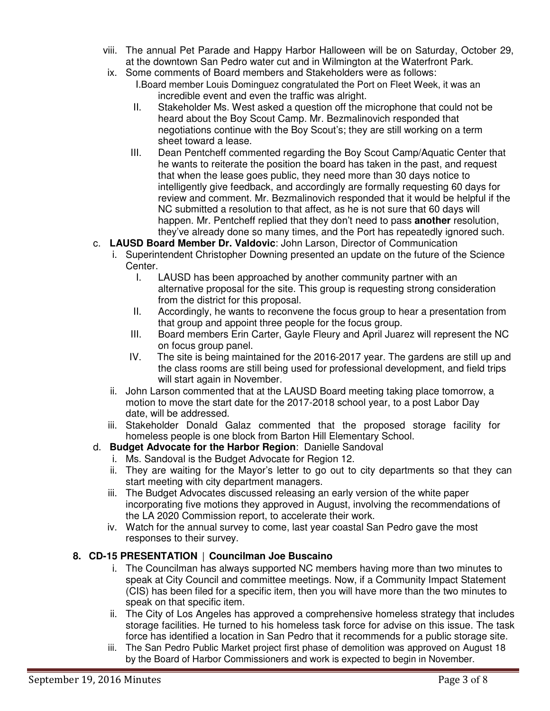- viii. The annual Pet Parade and Happy Harbor Halloween will be on Saturday, October 29, at the downtown San Pedro water cut and in Wilmington at the Waterfront Park.
- ix. Some comments of Board members and Stakeholders were as follows:
	- I.Board member Louis Dominguez congratulated the Port on Fleet Week, it was an incredible event and even the traffic was alright.
	- II. Stakeholder Ms. West asked a question off the microphone that could not be heard about the Boy Scout Camp. Mr. Bezmalinovich responded that negotiations continue with the Boy Scout's; they are still working on a term sheet toward a lease.
	- III. Dean Pentcheff commented regarding the Boy Scout Camp/Aquatic Center that he wants to reiterate the position the board has taken in the past, and request that when the lease goes public, they need more than 30 days notice to intelligently give feedback, and accordingly are formally requesting 60 days for review and comment. Mr. Bezmalinovich responded that it would be helpful if the NC submitted a resolution to that affect, as he is not sure that 60 days will happen. Mr. Pentcheff replied that they don't need to pass **another** resolution, they've already done so many times, and the Port has repeatedly ignored such.
- c. **LAUSD Board Member Dr. Valdovic**: John Larson, Director of Communication
	- i. Superintendent Christopher Downing presented an update on the future of the Science Center.
		- I. LAUSD has been approached by another community partner with an alternative proposal for the site. This group is requesting strong consideration from the district for this proposal.
		- II. Accordingly, he wants to reconvene the focus group to hear a presentation from that group and appoint three people for the focus group.
		- III. Board members Erin Carter, Gayle Fleury and April Juarez will represent the NC on focus group panel.
		- IV. The site is being maintained for the 2016-2017 year. The gardens are still up and the class rooms are still being used for professional development, and field trips will start again in November.
	- ii. John Larson commented that at the LAUSD Board meeting taking place tomorrow, a motion to move the start date for the 2017-2018 school year, to a post Labor Day date, will be addressed.
	- iii. Stakeholder Donald Galaz commented that the proposed storage facility for homeless people is one block from Barton Hill Elementary School.
- d. **Budget Advocate for the Harbor Region**: Danielle Sandoval
	- i. Ms. Sandoval is the Budget Advocate for Region 12.
	- ii. They are waiting for the Mayor's letter to go out to city departments so that they can start meeting with city department managers.
	- iii. The Budget Advocates discussed releasing an early version of the white paper incorporating five motions they approved in August, involving the recommendations of the LA 2020 Commission report, to accelerate their work.
	- iv. Watch for the annual survey to come, last year coastal San Pedro gave the most responses to their survey.

# **8. CD-15 PRESENTATION** | **Councilman Joe Buscaino**

- i. The Councilman has always supported NC members having more than two minutes to speak at City Council and committee meetings. Now, if a Community Impact Statement (CIS) has been filed for a specific item, then you will have more than the two minutes to speak on that specific item.
- ii. The City of Los Angeles has approved a comprehensive homeless strategy that includes storage facilities. He turned to his homeless task force for advise on this issue. The task force has identified a location in San Pedro that it recommends for a public storage site.
- iii. The San Pedro Public Market project first phase of demolition was approved on August 18 by the Board of Harbor Commissioners and work is expected to begin in November.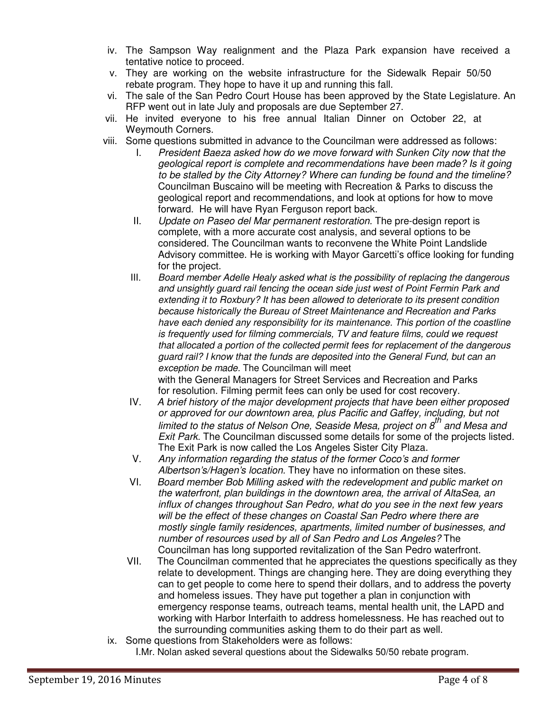- iv. The Sampson Way realignment and the Plaza Park expansion have received a tentative notice to proceed.
- v. They are working on the website infrastructure for the Sidewalk Repair 50/50 rebate program. They hope to have it up and running this fall.
- vi. The sale of the San Pedro Court House has been approved by the State Legislature. An RFP went out in late July and proposals are due September 27.
- vii. He invited everyone to his free annual Italian Dinner on October 22, at Weymouth Corners.
- viii. Some questions submitted in advance to the Councilman were addressed as follows:
	- I. President Baeza asked how do we move forward with Sunken City now that the geological report is complete and recommendations have been made? Is it going to be stalled by the City Attorney? Where can funding be found and the timeline? Councilman Buscaino will be meeting with Recreation & Parks to discuss the geological report and recommendations, and look at options for how to move forward. He will have Ryan Ferguson report back.
	- II. Update on Paseo del Mar permanent restoration. The pre-design report is complete, with a more accurate cost analysis, and several options to be considered. The Councilman wants to reconvene the White Point Landslide Advisory committee. He is working with Mayor Garcetti's office looking for funding for the project.
	- III. Board member Adelle Healy asked what is the possibility of replacing the dangerous and unsightly guard rail fencing the ocean side just west of Point Fermin Park and extending it to Roxbury? It has been allowed to deteriorate to its present condition because historically the Bureau of Street Maintenance and Recreation and Parks have each denied any responsibility for its maintenance. This portion of the coastline is frequently used for filming commercials, TV and feature films, could we request that allocated a portion of the collected permit fees for replacement of the dangerous guard rail? I know that the funds are deposited into the General Fund, but can an exception be made. The Councilman will meet with the General Managers for Street Services and Recreation and Parks

for resolution. Filming permit fees can only be used for cost recovery.

- IV. A brief history of the major development projects that have been either proposed or approved for our downtown area, plus Pacific and Gaffey, including, but not limited to the status of Nelson One, Seaside Mesa, project on  $g^{th}$  and Mesa and Exit Park. The Councilman discussed some details for some of the projects listed. The Exit Park is now called the Los Angeles Sister City Plaza.
- V. Any information regarding the status of the former Coco's and former Albertson's/Hagen's location. They have no information on these sites.
- VI. Board member Bob Milling asked with the redevelopment and public market on the waterfront, plan buildings in the downtown area, the arrival of AltaSea, an influx of changes throughout San Pedro, what do you see in the next few years will be the effect of these changes on Coastal San Pedro where there are mostly single family residences, apartments, limited number of businesses, and number of resources used by all of San Pedro and Los Angeles? The Councilman has long supported revitalization of the San Pedro waterfront.
- VII. The Councilman commented that he appreciates the questions specifically as they relate to development. Things are changing here. They are doing everything they can to get people to come here to spend their dollars, and to address the poverty and homeless issues. They have put together a plan in conjunction with emergency response teams, outreach teams, mental health unit, the LAPD and working with Harbor Interfaith to address homelessness. He has reached out to the surrounding communities asking them to do their part as well.
- ix. Some questions from Stakeholders were as follows:
	- I.Mr. Nolan asked several questions about the Sidewalks 50/50 rebate program.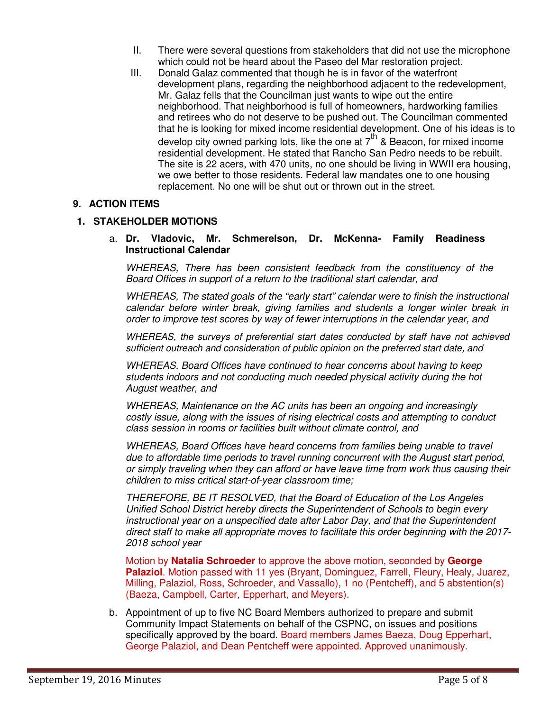- II. There were several questions from stakeholders that did not use the microphone which could not be heard about the Paseo del Mar restoration project.
- III. Donald Galaz commented that though he is in favor of the waterfront development plans, regarding the neighborhood adjacent to the redevelopment, Mr. Galaz fells that the Councilman just wants to wipe out the entire neighborhood. That neighborhood is full of homeowners, hardworking families and retirees who do not deserve to be pushed out. The Councilman commented that he is looking for mixed income residential development. One of his ideas is to develop city owned parking lots, like the one at  $7<sup>th</sup>$  & Beacon, for mixed income residential development. He stated that Rancho San Pedro needs to be rebuilt. The site is 22 acers, with 470 units, no one should be living in WWII era housing, we owe better to those residents. Federal law mandates one to one housing replacement. No one will be shut out or thrown out in the street.

### **9. ACTION ITEMS**

#### **1. STAKEHOLDER MOTIONS**

#### a. **Dr. Vladovic, Mr. Schmerelson, Dr. McKenna- Family Readiness Instructional Calendar**

WHEREAS, There has been consistent feedback from the constituency of the Board Offices in support of a return to the traditional start calendar, and

WHEREAS, The stated goals of the "early start" calendar were to finish the instructional calendar before winter break, giving families and students a longer winter break in order to improve test scores by way of fewer interruptions in the calendar year, and

WHEREAS, the surveys of preferential start dates conducted by staff have not achieved sufficient outreach and consideration of public opinion on the preferred start date, and

WHEREAS, Board Offices have continued to hear concerns about having to keep students indoors and not conducting much needed physical activity during the hot August weather, and

WHEREAS, Maintenance on the AC units has been an ongoing and increasingly costly issue, along with the issues of rising electrical costs and attempting to conduct class session in rooms or facilities built without climate control, and

WHEREAS, Board Offices have heard concerns from families being unable to travel due to affordable time periods to travel running concurrent with the August start period, or simply traveling when they can afford or have leave time from work thus causing their children to miss critical start-of-year classroom time;

THEREFORE, BE IT RESOLVED, that the Board of Education of the Los Angeles Unified School District hereby directs the Superintendent of Schools to begin every instructional year on a unspecified date after Labor Day, and that the Superintendent direct staff to make all appropriate moves to facilitate this order beginning with the 2017- 2018 school year

Motion by **Natalia Schroeder** to approve the above motion, seconded by **George Palaziol**. Motion passed with 11 yes (Bryant, Dominguez, Farrell, Fleury, Healy, Juarez, Milling, Palaziol, Ross, Schroeder, and Vassallo), 1 no (Pentcheff), and 5 abstention(s) (Baeza, Campbell, Carter, Epperhart, and Meyers).

b. Appointment of up to five NC Board Members authorized to prepare and submit Community Impact Statements on behalf of the CSPNC, on issues and positions specifically approved by the board. Board members James Baeza, Doug Epperhart, George Palaziol, and Dean Pentcheff were appointed. Approved unanimously.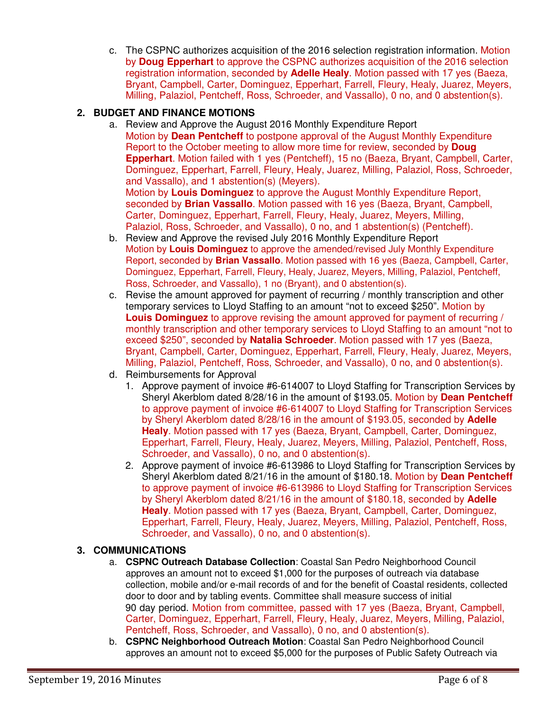c. The CSPNC authorizes acquisition of the 2016 selection registration information. Motion by **Doug Epperhart** to approve the CSPNC authorizes acquisition of the 2016 selection registration information, seconded by **Adelle Healy**. Motion passed with 17 yes (Baeza, Bryant, Campbell, Carter, Dominguez, Epperhart, Farrell, Fleury, Healy, Juarez, Meyers, Milling, Palaziol, Pentcheff, Ross, Schroeder, and Vassallo), 0 no, and 0 abstention(s).

# **2. BUDGET AND FINANCE MOTIONS**

a. Review and Approve the August 2016 Monthly Expenditure Report Motion by **Dean Pentcheff** to postpone approval of the August Monthly Expenditure Report to the October meeting to allow more time for review, seconded by **Doug Epperhart**. Motion failed with 1 yes (Pentcheff), 15 no (Baeza, Bryant, Campbell, Carter, Dominguez, Epperhart, Farrell, Fleury, Healy, Juarez, Milling, Palaziol, Ross, Schroeder, and Vassallo), and 1 abstention(s) (Meyers). Motion by **Louis Dominguez** to approve the August Monthly Expenditure Report, seconded by **Brian Vassallo**. Motion passed with 16 yes (Baeza, Bryant, Campbell,

Carter, Dominguez, Epperhart, Farrell, Fleury, Healy, Juarez, Meyers, Milling, Palaziol, Ross, Schroeder, and Vassallo), 0 no, and 1 abstention(s) (Pentcheff).

- b. Review and Approve the revised July 2016 Monthly Expenditure Report Motion by **Louis Dominguez** to approve the amended/revised July Monthly Expenditure Report, seconded by **Brian Vassallo**. Motion passed with 16 yes (Baeza, Campbell, Carter, Dominguez, Epperhart, Farrell, Fleury, Healy, Juarez, Meyers, Milling, Palaziol, Pentcheff, Ross, Schroeder, and Vassallo), 1 no (Bryant), and 0 abstention(s).
- c. Revise the amount approved for payment of recurring / monthly transcription and other temporary services to Lloyd Staffing to an amount "not to exceed \$250". Motion by **Louis Dominguez** to approve revising the amount approved for payment of recurring / monthly transcription and other temporary services to Lloyd Staffing to an amount "not to exceed \$250", seconded by **Natalia Schroeder**. Motion passed with 17 yes (Baeza, Bryant, Campbell, Carter, Dominguez, Epperhart, Farrell, Fleury, Healy, Juarez, Meyers, Milling, Palaziol, Pentcheff, Ross, Schroeder, and Vassallo), 0 no, and 0 abstention(s).
- d. Reimbursements for Approval
	- 1. Approve payment of invoice #6-614007 to Lloyd Staffing for Transcription Services by Sheryl Akerblom dated 8/28/16 in the amount of \$193.05. Motion by **Dean Pentcheff** to approve payment of invoice #6-614007 to Lloyd Staffing for Transcription Services by Sheryl Akerblom dated 8/28/16 in the amount of \$193.05, seconded by **Adelle Healy**. Motion passed with 17 yes (Baeza, Bryant, Campbell, Carter, Dominguez, Epperhart, Farrell, Fleury, Healy, Juarez, Meyers, Milling, Palaziol, Pentcheff, Ross, Schroeder, and Vassallo), 0 no, and 0 abstention(s).
	- 2. Approve payment of invoice #6-613986 to Lloyd Staffing for Transcription Services by Sheryl Akerblom dated 8/21/16 in the amount of \$180.18. Motion by **Dean Pentcheff** to approve payment of invoice #6-613986 to Lloyd Staffing for Transcription Services by Sheryl Akerblom dated 8/21/16 in the amount of \$180.18, seconded by **Adelle Healy**. Motion passed with 17 yes (Baeza, Bryant, Campbell, Carter, Dominguez, Epperhart, Farrell, Fleury, Healy, Juarez, Meyers, Milling, Palaziol, Pentcheff, Ross, Schroeder, and Vassallo), 0 no, and 0 abstention(s).

# **3. COMMUNICATIONS**

- a. **CSPNC Outreach Database Collection**: Coastal San Pedro Neighborhood Council approves an amount not to exceed \$1,000 for the purposes of outreach via database collection, mobile and/or e-mail records of and for the benefit of Coastal residents, collected door to door and by tabling events. Committee shall measure success of initial 90 day period. Motion from committee, passed with 17 yes (Baeza, Bryant, Campbell, Carter, Dominguez, Epperhart, Farrell, Fleury, Healy, Juarez, Meyers, Milling, Palaziol, Pentcheff, Ross, Schroeder, and Vassallo), 0 no, and 0 abstention(s).
- b. **CSPNC Neighborhood Outreach Motion**: Coastal San Pedro Neighborhood Council approves an amount not to exceed \$5,000 for the purposes of Public Safety Outreach via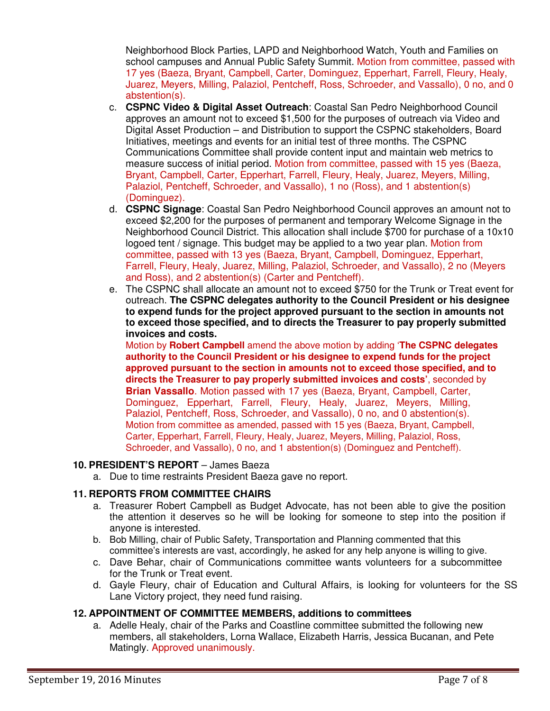Neighborhood Block Parties, LAPD and Neighborhood Watch, Youth and Families on school campuses and Annual Public Safety Summit. Motion from committee, passed with 17 yes (Baeza, Bryant, Campbell, Carter, Dominguez, Epperhart, Farrell, Fleury, Healy, Juarez, Meyers, Milling, Palaziol, Pentcheff, Ross, Schroeder, and Vassallo), 0 no, and 0 abstention(s).

- c. **CSPNC Video & Digital Asset Outreach**: Coastal San Pedro Neighborhood Council approves an amount not to exceed \$1,500 for the purposes of outreach via Video and Digital Asset Production – and Distribution to support the CSPNC stakeholders, Board Initiatives, meetings and events for an initial test of three months. The CSPNC Communications Committee shall provide content input and maintain web metrics to measure success of initial period. Motion from committee, passed with 15 yes (Baeza, Bryant, Campbell, Carter, Epperhart, Farrell, Fleury, Healy, Juarez, Meyers, Milling, Palaziol, Pentcheff, Schroeder, and Vassallo), 1 no (Ross), and 1 abstention(s) (Dominguez).
- d. **CSPNC Signage**: Coastal San Pedro Neighborhood Council approves an amount not to exceed \$2,200 for the purposes of permanent and temporary Welcome Signage in the Neighborhood Council District. This allocation shall include \$700 for purchase of a 10x10 logoed tent / signage. This budget may be applied to a two year plan. Motion from committee, passed with 13 yes (Baeza, Bryant, Campbell, Dominguez, Epperhart, Farrell, Fleury, Healy, Juarez, Milling, Palaziol, Schroeder, and Vassallo), 2 no (Meyers and Ross), and 2 abstention(s) (Carter and Pentcheff).
- e. The CSPNC shall allocate an amount not to exceed \$750 for the Trunk or Treat event for outreach. **The CSPNC delegates authority to the Council President or his designee to expend funds for the project approved pursuant to the section in amounts not to exceed those specified, and to directs the Treasurer to pay properly submitted invoices and costs.**

Motion by **Robert Campbell** amend the above motion by adding '**The CSPNC delegates authority to the Council President or his designee to expend funds for the project approved pursuant to the section in amounts not to exceed those specified, and to directs the Treasurer to pay properly submitted invoices and costs'**, seconded by **Brian Vassallo**. Motion passed with 17 yes (Baeza, Bryant, Campbell, Carter, Dominguez, Epperhart, Farrell, Fleury, Healy, Juarez, Meyers, Milling, Palaziol, Pentcheff, Ross, Schroeder, and Vassallo), 0 no, and 0 abstention(s). Motion from committee as amended, passed with 15 yes (Baeza, Bryant, Campbell, Carter, Epperhart, Farrell, Fleury, Healy, Juarez, Meyers, Milling, Palaziol, Ross, Schroeder, and Vassallo), 0 no, and 1 abstention(s) (Dominguez and Pentcheff).

### **10. PRESIDENT'S REPORT** – James Baeza

a. Due to time restraints President Baeza gave no report.

### **11. REPORTS FROM COMMITTEE CHAIRS**

- a. Treasurer Robert Campbell as Budget Advocate, has not been able to give the position the attention it deserves so he will be looking for someone to step into the position if anyone is interested.
- b. Bob Milling, chair of Public Safety, Transportation and Planning commented that this committee's interests are vast, accordingly, he asked for any help anyone is willing to give.
- c. Dave Behar, chair of Communications committee wants volunteers for a subcommittee for the Trunk or Treat event.
- d. Gayle Fleury, chair of Education and Cultural Affairs, is looking for volunteers for the SS Lane Victory project, they need fund raising.

### **12. APPOINTMENT OF COMMITTEE MEMBERS, additions to committees**

a. Adelle Healy, chair of the Parks and Coastline committee submitted the following new members, all stakeholders, Lorna Wallace, Elizabeth Harris, Jessica Bucanan, and Pete Matingly. Approved unanimously.